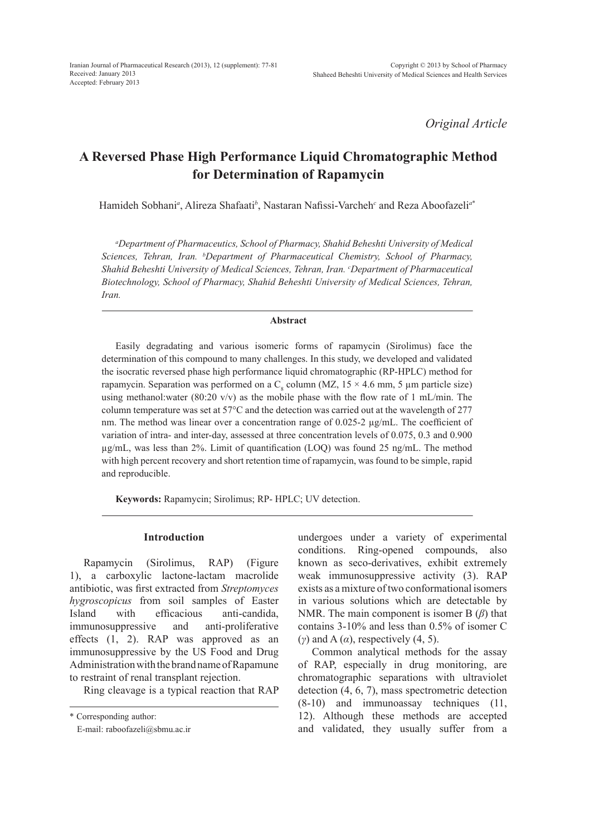*Original Article*

# **A Reversed Phase High Performance Liquid Chromatographic Method for Determination of Rapamycin**

Hamideh Sobhani*<sup>a</sup>* , Alireza Shafaati*<sup>b</sup>* , Nastaran Nafissi-Varcheh*<sup>c</sup>* and Reza Aboofazeli*<sup>a</sup>*\*

*a Department of Pharmaceutics, School of Pharmacy, Shahid Beheshti University of Medical Sciences, Tehran, Iran. b Department of Pharmaceutical Chemistry, School of Pharmacy, Shahid Beheshti University of Medical Sciences, Tehran, Iran. c Department of Pharmaceutical Biotechnology, School of Pharmacy, Shahid Beheshti University of Medical Sciences, Tehran, Iran.*

# **Abstract**

Easily degradating and various isomeric forms of rapamycin (Sirolimus) face the determination of this compound to many challenges. In this study, we developed and validated the isocratic reversed phase high performance liquid chromatographic (RP-HPLC) method for rapamycin. Separation was performed on a  $C_8$  column (MZ,  $15 \times 4.6$  mm, 5  $\mu$ m particle size) using methanol:water (80:20 v/v) as the mobile phase with the flow rate of 1 mL/min. The column temperature was set at 57°C and the detection was carried out at the wavelength of 277 nm. The method was linear over a concentration range of 0.025-2  $\mu$ g/mL. The coefficient of variation of intra- and inter-day, assessed at three concentration levels of 0.075, 0.3 and 0.900 µg/mL, was less than 2%. Limit of quantification (LOQ) was found 25 ng/mL. The method with high percent recovery and short retention time of rapamycin, was found to be simple, rapid and reproducible.

**Keywords:** Rapamycin; Sirolimus; RP- HPLC; UV detection.

# **Introduction**

Rapamycin (Sirolimus, RAP) (Figure 1), a carboxylic lactone-lactam macrolide antibiotic, was first extracted from *Streptomyces hygroscopicus* from soil samples of Easter Island with efficacious anti-candida, immunosuppressive and anti-proliferative effects (1, 2). RAP was approved as an immunosuppressive by the US Food and Drug Administration with the brand name of Rapamune to restraint of renal transplant rejection.

Ring cleavage is a typical reaction that RAP

undergoes under a variety of experimental conditions. Ring-opened compounds, also known as seco-derivatives, exhibit extremely weak immunosuppressive activity (3). RAP exists as a mixture of two conformational isomers in various solutions which are detectable by NMR. The main component is isomer B (*β*) that contains 3-10% and less than 0.5% of isomer C (*γ*) and A (*α*), respectively (4, 5).

Common analytical methods for the assay of RAP, especially in drug monitoring, are chromatographic separations with ultraviolet detection (4, 6, 7), mass spectrometric detection (8-10) and immunoassay techniques (11, 12). Although these methods are accepted and validated, they usually suffer from a

<sup>\*</sup> Corresponding author:

E-mail: raboofazeli@sbmu.ac.ir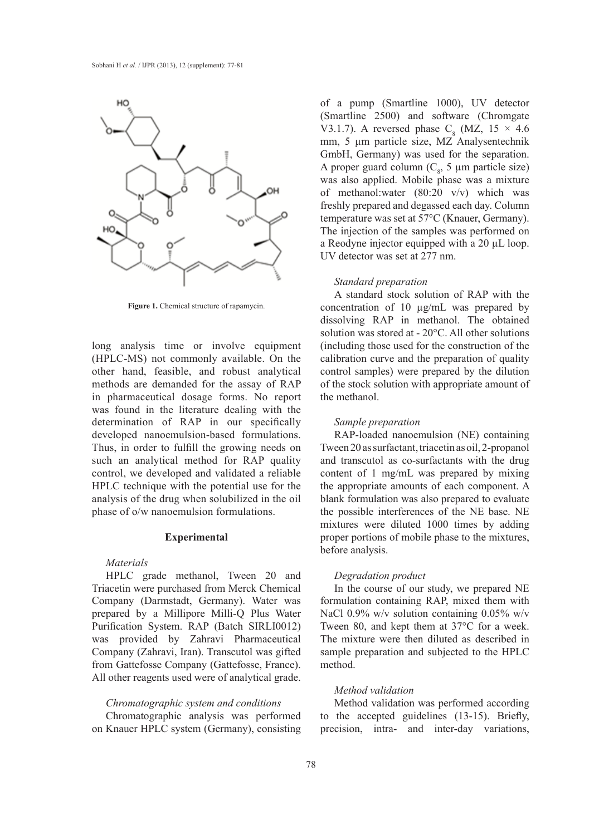

**Figure 1.** Chemical structure of rapamycin.

long analysis time or involve equipment (HPLC-MS) not commonly available. On the other hand, feasible, and robust analytical methods are demanded for the assay of RAP in pharmaceutical dosage forms. No report was found in the literature dealing with the determination of RAP in our specifically developed nanoemulsion-based formulations. Thus, in order to fulfill the growing needs on such an analytical method for RAP quality control, we developed and validated a reliable HPLC technique with the potential use for the analysis of the drug when solubilized in the oil phase of o/w nanoemulsion formulations.

## **Experimental**

## *Materials*

HPLC grade methanol, Tween 20 and Triacetin were purchased from Merck Chemical Company (Darmstadt, Germany). Water was prepared by a Millipore Milli-Q Plus Water Purification System. RAP (Batch SIRLI0012) was provided by Zahravi Pharmaceutical Company (Zahravi, Iran). Transcutol was gifted from Gattefosse Company (Gattefosse, France). All other reagents used were of analytical grade.

#### *Chromatographic system and conditions*

Chromatographic analysis was performed on Knauer HPLC system (Germany), consisting of a pump (Smartline 1000), UV detector (Smartline 2500) and software (Chromgate V3.1.7). A reversed phase  $C_8$  (MZ, 15  $\times$  4.6 mm, 5 µm particle size, MZ Analysentechnik GmbH, Germany) was used for the separation. A proper guard column  $(C_8, 5 \mu m)$  particle size) was also applied. Mobile phase was a mixture of methanol:water (80:20 v/v) which was freshly prepared and degassed each day. Column temperature was set at 57°C (Knauer, Germany). The injection of the samples was performed on a Reodyne injector equipped with a 20 µL loop. UV detector was set at 277 nm.

#### *Standard preparation*

A standard stock solution of RAP with the concentration of 10 µg/mL was prepared by dissolving RAP in methanol. The obtained solution was stored at - 20°C. All other solutions (including those used for the construction of the calibration curve and the preparation of quality control samples) were prepared by the dilution of the stock solution with appropriate amount of the methanol.

#### *Sample preparation*

RAP-loaded nanoemulsion (NE) containing Tween 20 as surfactant, triacetin as oil, 2-propanol and transcutol as co-surfactants with the drug content of 1 mg/mL was prepared by mixing the appropriate amounts of each component. A blank formulation was also prepared to evaluate the possible interferences of the NE base. NE mixtures were diluted 1000 times by adding proper portions of mobile phase to the mixtures, before analysis.

## *Degradation product*

In the course of our study, we prepared NE formulation containing RAP, mixed them with NaCl 0.9% w/v solution containing 0.05% w/v Tween 80, and kept them at 37°C for a week. The mixture were then diluted as described in sample preparation and subjected to the HPLC method.

## *Method validation*

Method validation was performed according to the accepted guidelines (13-15). Briefly, precision, intra- and inter-day variations,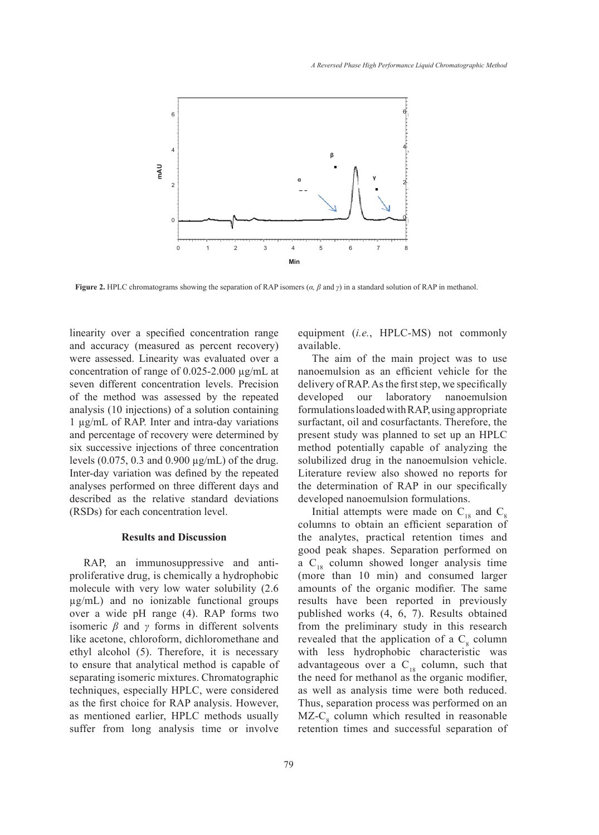

**Figure 2.** HPLC chromatograms showing the separation of RAP isomers (*α, β* and *γ*) in a standard solution of RAP in methanol.

linearity over a specified concentration range and accuracy (measured as percent recovery) were assessed. Linearity was evaluated over a concentration of range of 0.025-2.000 µg/mL at seven different concentration levels. Precision of the method was assessed by the repeated analysis (10 injections) of a solution containing 1 µg/mL of RAP. Inter and intra-day variations and percentage of recovery were determined by six successive injections of three concentration levels (0.075, 0.3 and 0.900 µg/mL) of the drug. Inter-day variation was defined by the repeated analyses performed on three different days and described as the relative standard deviations (RSDs) for each concentration level.

## **Results and Discussion**

RAP, an immunosuppressive and antiproliferative drug, is chemically a hydrophobic molecule with very low water solubility (2.6 µg/mL) and no ionizable functional groups over a wide pH range (4). RAP forms two isomeric  $\beta$  and  $\gamma$  forms in different solvents like acetone, chloroform, dichloromethane and ethyl alcohol (5). Therefore, it is necessary to ensure that analytical method is capable of separating isomeric mixtures. Chromatographic techniques, especially HPLC, were considered as the first choice for RAP analysis. However, as mentioned earlier, HPLC methods usually suffer from long analysis time or involve equipment (*i.e.*, HPLC-MS) not commonly available.

The aim of the main project was to use nanoemulsion as an efficient vehicle for the delivery of RAP. As the first step, we specifically developed our laboratory nanoemulsion formulations loaded with RAP, using appropriate surfactant, oil and cosurfactants. Therefore, the present study was planned to set up an HPLC method potentially capable of analyzing the solubilized drug in the nanoemulsion vehicle. Literature review also showed no reports for the determination of RAP in our specifically developed nanoemulsion formulations.

Initial attempts were made on  $C_{18}$  and  $C_8$ columns to obtain an efficient separation of the analytes, practical retention times and good peak shapes. Separation performed on a  $C_{18}$  column showed longer analysis time (more than 10 min) and consumed larger amounts of the organic modifier. The same results have been reported in previously published works (4, 6, 7). Results obtained from the preliminary study in this research revealed that the application of a  $C_8$  column with less hydrophobic characteristic was advantageous over a  $C_{18}$  column, such that the need for methanol as the organic modifier, as well as analysis time were both reduced. Thus, separation process was performed on an  $MZ-C_8$  column which resulted in reasonable retention times and successful separation of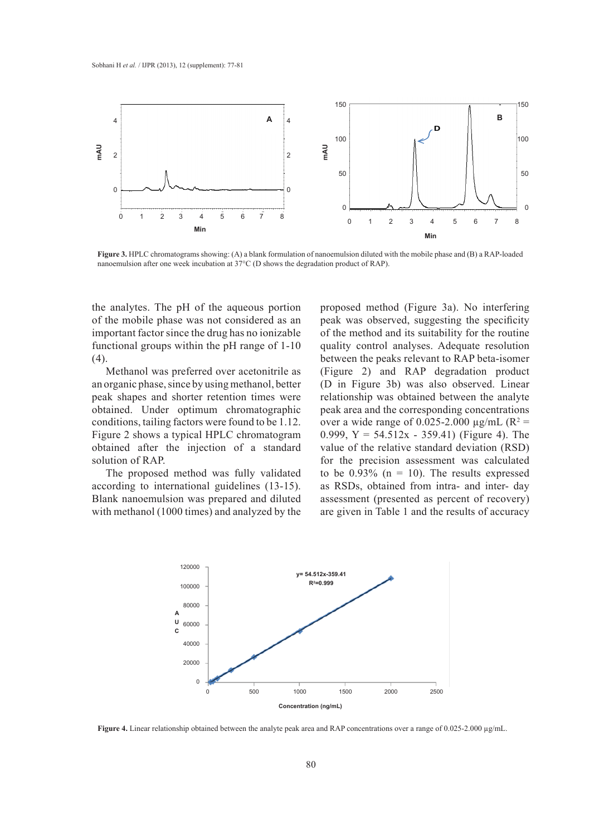

**Figure 3.** HPLC chromatograms showing: (A) a blank formulation of nanoemulsion diluted with the mobile phase and (B) a RAP-loaded nanoemulsion after one week incubation at 37<sup>°</sup>C (D shows the degradation product of RAP).

the analytes. The pH of the aqueous portion of the mobile phase was not considered as an important factor since the drug has no ionizable functional groups within the pH range of 1-10 (4).

Methanol was preferred over acetonitrile as an organic phase, since by using methanol, better peak shapes and shorter retention times were obtained. Under optimum chromatographic conditions, tailing factors were found to be 1.12. Figure 2 shows a typical HPLC chromatogram obtained after the injection of a standard solution of RAP.

The proposed method was fully validated according to international guidelines (13-15). Blank nanoemulsion was prepared and diluted with methanol (1000 times) and analyzed by the

proposed method (Figure 3a). No interfering peak was observed, suggesting the specificity of the method and its suitability for the routine quality control analyses. Adequate resolution between the peaks relevant to RAP beta-isomer (Figure 2) and RAP degradation product (D in Figure 3b) was also observed. Linear relationship was obtained between the analyte peak area and the corresponding concentrations over a wide range of 0.025-2.000  $\mu$ g/mL (R<sup>2</sup> = 0.999,  $Y = 54.512x - 359.41$ ) (Figure 4). The value of the relative standard deviation (RSD) for the precision assessment was calculated to be  $0.93\%$  (n = 10). The results expressed as RSDs, obtained from intra- and inter- day assessment (presented as percent of recovery) are given in Table 1 and the results of accuracy



Figure 4. Linear relationship obtained between the analyte peak area and RAP concentrations over a range of 0.025-2.000 µg/mL.